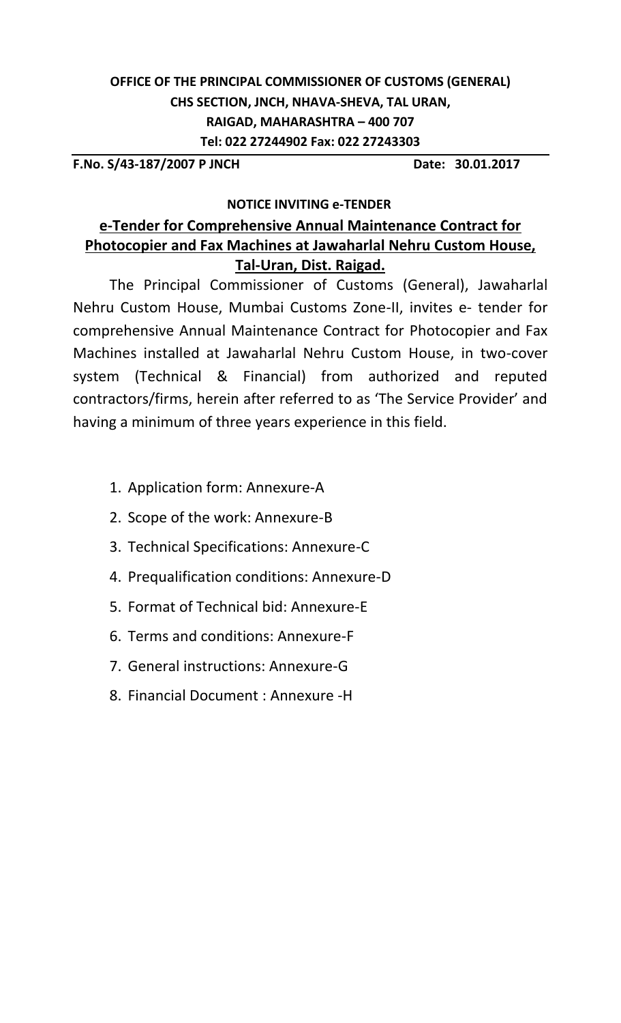# **OFFICE OF THE PRINCIPAL COMMISSIONER OF CUSTOMS (GENERAL) CHS SECTION, JNCH, NHAVA-SHEVA, TAL URAN, RAIGAD, MAHARASHTRA – 400 707 Tel: 022 27244902 Fax: 022 27243303**

**F.No. S/43-187/2007 P JNCH Date: 30.01.2017**

# **NOTICE INVITING e-TENDER**

# **e-Tender for Comprehensive Annual Maintenance Contract for Photocopier and Fax Machines at Jawaharlal Nehru Custom House, Tal-Uran, Dist. Raigad.**

The Principal Commissioner of Customs (General), Jawaharlal Nehru Custom House, Mumbai Customs Zone-II, invites e- tender for comprehensive Annual Maintenance Contract for Photocopier and Fax Machines installed at Jawaharlal Nehru Custom House, in two-cover system (Technical & Financial) from authorized and reputed contractors/firms, herein after referred to as 'The Service Provider' and having a minimum of three years experience in this field.

- 1. Application form: Annexure-A
- 2. Scope of the work: Annexure-B
- 3. Technical Specifications: Annexure-C
- 4. Prequalification conditions: Annexure-D
- 5. Format of Technical bid: Annexure-E
- 6. Terms and conditions: Annexure-F
- 7. General instructions: Annexure-G
- 8. Financial Document : Annexure -H